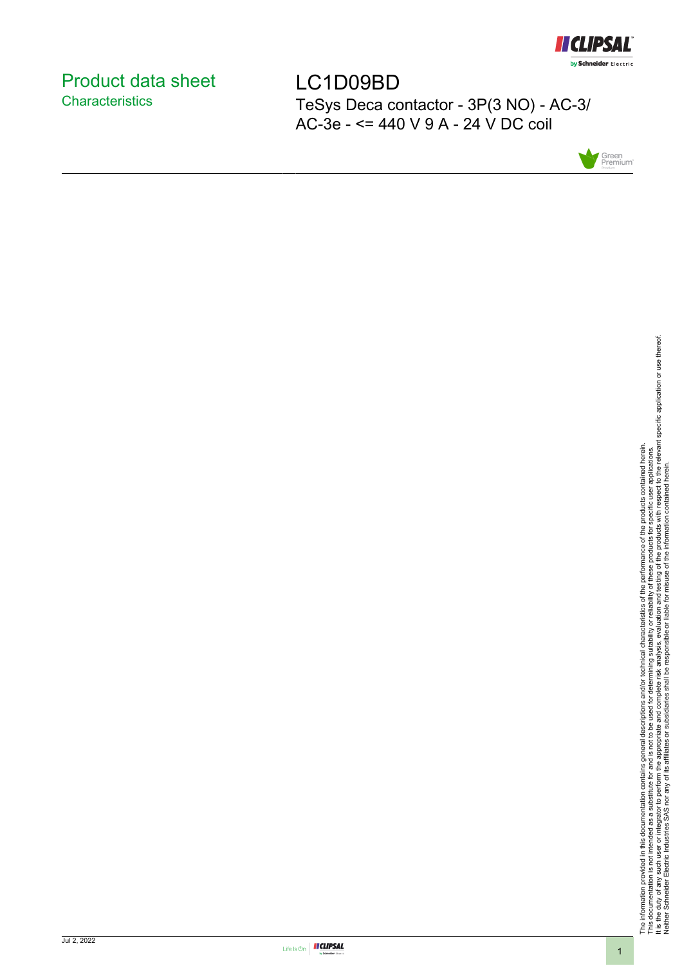

### <span id="page-0-0"></span>Product data sheet **Characteristics**

LC1D09BD TeSys Deca contactor - 3P(3 NO) - AC-3/ AC-3e - <= 440 V 9 A - 24 V DC coil





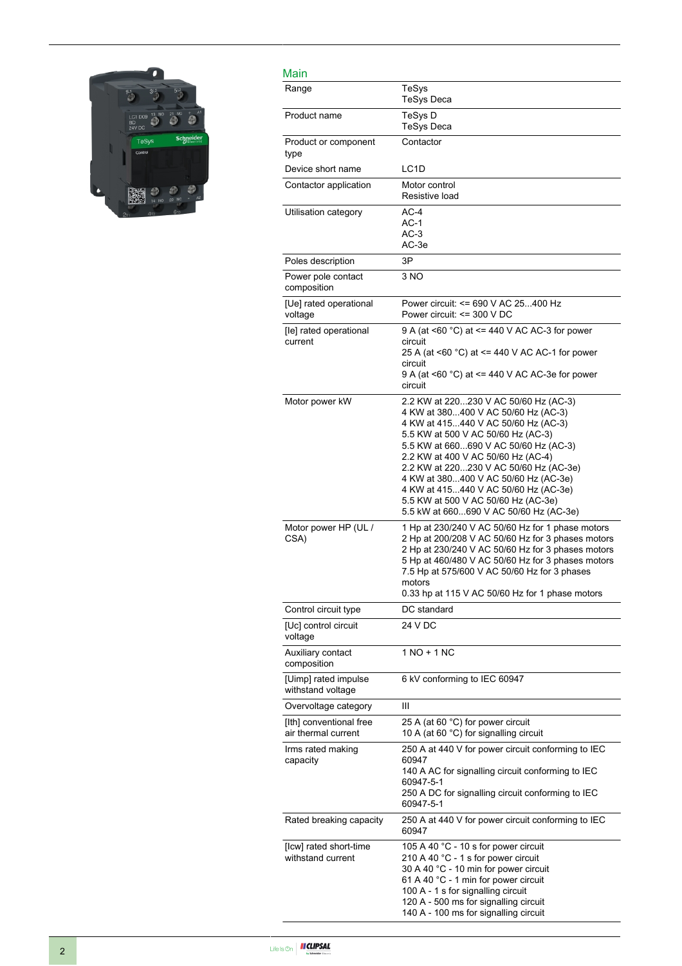

| Main                                           |                                                                                                                                                                                                                                                                                                                                                                                                                                                     |
|------------------------------------------------|-----------------------------------------------------------------------------------------------------------------------------------------------------------------------------------------------------------------------------------------------------------------------------------------------------------------------------------------------------------------------------------------------------------------------------------------------------|
| Range                                          | TeSys<br><b>TeSys Deca</b>                                                                                                                                                                                                                                                                                                                                                                                                                          |
| Product name                                   | TeSys D<br>TeSys Deca                                                                                                                                                                                                                                                                                                                                                                                                                               |
| Product or component<br>type                   | Contactor                                                                                                                                                                                                                                                                                                                                                                                                                                           |
| Device short name                              | LC <sub>1</sub> D                                                                                                                                                                                                                                                                                                                                                                                                                                   |
| Contactor application                          | Motor control<br>Resistive load                                                                                                                                                                                                                                                                                                                                                                                                                     |
| Utilisation category                           | $AC-4$<br>$AC-1$<br>$AC-3$<br>AC-3e                                                                                                                                                                                                                                                                                                                                                                                                                 |
| Poles description                              | 3P                                                                                                                                                                                                                                                                                                                                                                                                                                                  |
| Power pole contact<br>composition              | 3 NO                                                                                                                                                                                                                                                                                                                                                                                                                                                |
| [Ue] rated operational<br>voltage              | Power circuit: <= 690 V AC 25400 Hz<br>Power circuit: <= 300 V DC                                                                                                                                                                                                                                                                                                                                                                                   |
| [le] rated operational<br>current              | 9 A (at <60 °C) at <= 440 V AC AC-3 for power<br>circuit<br>25 A (at <60 °C) at <= 440 V AC AC-1 for power<br>circuit<br>9 A (at <60 °C) at <= 440 V AC AC-3e for power<br>circuit                                                                                                                                                                                                                                                                  |
| Motor power kW                                 | 2.2 KW at 220230 V AC 50/60 Hz (AC-3)<br>4 KW at 380400 V AC 50/60 Hz (AC-3)<br>4 KW at 415440 V AC 50/60 Hz (AC-3)<br>5.5 KW at 500 V AC 50/60 Hz (AC-3)<br>5.5 KW at 660690 V AC 50/60 Hz (AC-3)<br>2.2 KW at 400 V AC 50/60 Hz (AC-4)<br>2.2 KW at 220230 V AC 50/60 Hz (AC-3e)<br>4 KW at 380400 V AC 50/60 Hz (AC-3e)<br>4 KW at 415440 V AC 50/60 Hz (AC-3e)<br>5.5 KW at 500 V AC 50/60 Hz (AC-3e)<br>5.5 kW at 660690 V AC 50/60 Hz (AC-3e) |
| Motor power HP (UL /<br>CSA)                   | 1 Hp at 230/240 V AC 50/60 Hz for 1 phase motors<br>2 Hp at 200/208 V AC 50/60 Hz for 3 phases motors<br>2 Hp at 230/240 V AC 50/60 Hz for 3 phases motors<br>5 Hp at 460/480 V AC 50/60 Hz for 3 phases motors<br>7.5 Hp at 575/600 V AC 50/60 Hz for 3 phases<br>motors<br>0.33 hp at 115 V AC 50/60 Hz for 1 phase motors                                                                                                                        |
| Control circuit type                           | DC standard                                                                                                                                                                                                                                                                                                                                                                                                                                         |
| [Uc] control circuit<br>voltage                | 24 V DC                                                                                                                                                                                                                                                                                                                                                                                                                                             |
| Auxiliary contact<br>composition               | $1 NQ + 1 NC$                                                                                                                                                                                                                                                                                                                                                                                                                                       |
| [Uimp] rated impulse<br>withstand voltage      | 6 kV conforming to IEC 60947                                                                                                                                                                                                                                                                                                                                                                                                                        |
| Overvoltage category                           | Ш                                                                                                                                                                                                                                                                                                                                                                                                                                                   |
| [Ith] conventional free<br>air thermal current | 25 A (at 60 °C) for power circuit<br>10 A (at 60 °C) for signalling circuit                                                                                                                                                                                                                                                                                                                                                                         |
| Irms rated making<br>capacity                  | 250 A at 440 V for power circuit conforming to IEC<br>60947<br>140 A AC for signalling circuit conforming to IEC<br>60947-5-1<br>250 A DC for signalling circuit conforming to IEC<br>60947-5-1                                                                                                                                                                                                                                                     |
| Rated breaking capacity                        | 250 A at 440 V for power circuit conforming to IEC<br>60947                                                                                                                                                                                                                                                                                                                                                                                         |
| [Icw] rated short-time<br>withstand current    | 105 A 40 °C - 10 s for power circuit<br>210 A 40 °C - 1 s for power circuit<br>30 A 40 °C - 10 min for power circuit<br>61 A 40 °C - 1 min for power circuit<br>100 A - 1 s for signalling circuit<br>120 A - 500 ms for signalling circuit<br>140 A - 100 ms for signalling circuit                                                                                                                                                                |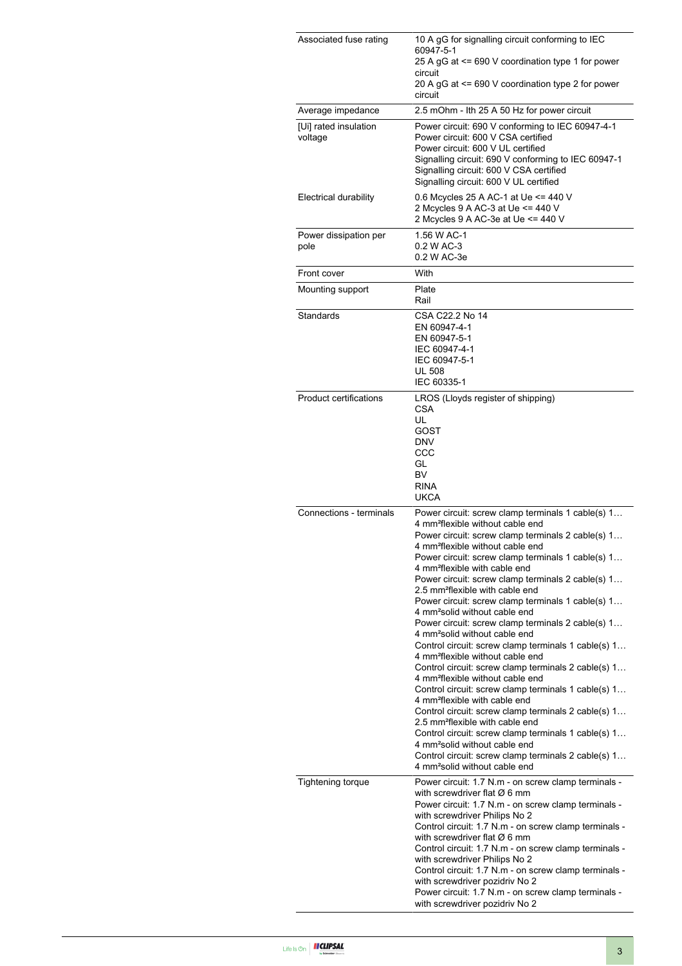| Associated fuse rating           | 10 A gG for signalling circuit conforming to IEC<br>60947-5-1<br>25 A gG at <= 690 V coordination type 1 for power<br>circuit<br>20 A gG at <= 690 V coordination type 2 for power                                                                                                                                                                                                                                                                                                                                                                                                                                                                                                                                                                                                                                                                                                                                                                                                                                                                                                                                                                                                                                                               |  |  |
|----------------------------------|--------------------------------------------------------------------------------------------------------------------------------------------------------------------------------------------------------------------------------------------------------------------------------------------------------------------------------------------------------------------------------------------------------------------------------------------------------------------------------------------------------------------------------------------------------------------------------------------------------------------------------------------------------------------------------------------------------------------------------------------------------------------------------------------------------------------------------------------------------------------------------------------------------------------------------------------------------------------------------------------------------------------------------------------------------------------------------------------------------------------------------------------------------------------------------------------------------------------------------------------------|--|--|
| Average impedance                | circuit<br>2.5 mOhm - Ith 25 A 50 Hz for power circuit                                                                                                                                                                                                                                                                                                                                                                                                                                                                                                                                                                                                                                                                                                                                                                                                                                                                                                                                                                                                                                                                                                                                                                                           |  |  |
| [Ui] rated insulation<br>voltage | Power circuit: 690 V conforming to IEC 60947-4-1<br>Power circuit: 600 V CSA certified<br>Power circuit: 600 V UL certified<br>Signalling circuit: 690 V conforming to IEC 60947-1<br>Signalling circuit: 600 V CSA certified<br>Signalling circuit: 600 V UL certified                                                                                                                                                                                                                                                                                                                                                                                                                                                                                                                                                                                                                                                                                                                                                                                                                                                                                                                                                                          |  |  |
| <b>Electrical durability</b>     | 0.6 Mcycles 25 A AC-1 at Ue <= 440 V<br>2 Mcycles 9 A AC-3 at Ue <= 440 V<br>2 Mcycles 9 A AC-3e at Ue <= 440 V                                                                                                                                                                                                                                                                                                                                                                                                                                                                                                                                                                                                                                                                                                                                                                                                                                                                                                                                                                                                                                                                                                                                  |  |  |
| Power dissipation per<br>pole    | 1.56 W AC-1<br>0.2 W AC-3<br>0.2 W AC-3e                                                                                                                                                                                                                                                                                                                                                                                                                                                                                                                                                                                                                                                                                                                                                                                                                                                                                                                                                                                                                                                                                                                                                                                                         |  |  |
| Front cover                      | With                                                                                                                                                                                                                                                                                                                                                                                                                                                                                                                                                                                                                                                                                                                                                                                                                                                                                                                                                                                                                                                                                                                                                                                                                                             |  |  |
| Mounting support                 | Plate<br>Rail                                                                                                                                                                                                                                                                                                                                                                                                                                                                                                                                                                                                                                                                                                                                                                                                                                                                                                                                                                                                                                                                                                                                                                                                                                    |  |  |
| Standards                        | CSA C22.2 No 14<br>EN 60947-4-1<br>EN 60947-5-1<br>IEC 60947-4-1<br>IEC 60947-5-1<br><b>UL 508</b><br>IEC 60335-1                                                                                                                                                                                                                                                                                                                                                                                                                                                                                                                                                                                                                                                                                                                                                                                                                                                                                                                                                                                                                                                                                                                                |  |  |
| <b>Product certifications</b>    | LROS (Lloyds register of shipping)<br><b>CSA</b><br>UL<br><b>GOST</b><br><b>DNV</b><br>CCC<br>GL<br>BV<br><b>RINA</b><br><b>UKCA</b>                                                                                                                                                                                                                                                                                                                                                                                                                                                                                                                                                                                                                                                                                                                                                                                                                                                                                                                                                                                                                                                                                                             |  |  |
| Connections - terminals          | Power circuit: screw clamp terminals 1 cable(s) 1<br>4 mm <sup>2</sup> flexible without cable end<br>Power circuit: screw clamp terminals 2 cable(s) 1<br>4 mm <sup>2</sup> flexible without cable end<br>Power circuit: screw clamp terminals 1 cable(s) 1<br>4 mm <sup>2</sup> flexible with cable end<br>Power circuit: screw clamp terminals 2 cable(s) 1<br>2.5 mm <sup>2</sup> flexible with cable end<br>Power circuit: screw clamp terminals 1 cable(s) 1<br>4 mm <sup>2</sup> solid without cable end<br>Power circuit: screw clamp terminals 2 cable(s) 1<br>4 mm <sup>2</sup> solid without cable end<br>Control circuit: screw clamp terminals 1 cable(s) 1<br>4 mm <sup>2</sup> flexible without cable end<br>Control circuit: screw clamp terminals 2 cable(s) 1<br>4 mm <sup>2</sup> flexible without cable end<br>Control circuit: screw clamp terminals 1 cable(s) 1<br>4 mm <sup>2</sup> flexible with cable end<br>Control circuit: screw clamp terminals 2 cable(s) 1<br>2.5 mm <sup>2</sup> flexible with cable end<br>Control circuit: screw clamp terminals 1 cable(s) 1<br>4 mm <sup>2</sup> solid without cable end<br>Control circuit: screw clamp terminals 2 cable(s) 1<br>4 mm <sup>2</sup> solid without cable end |  |  |
| <b>Tightening torque</b>         | Power circuit: 1.7 N.m - on screw clamp terminals -<br>with screwdriver flat $\varnothing$ 6 mm<br>Power circuit: 1.7 N.m - on screw clamp terminals -<br>with screwdriver Philips No 2<br>Control circuit: 1.7 N.m - on screw clamp terminals -<br>with screwdriver flat $\varnothing$ 6 mm<br>Control circuit: 1.7 N.m - on screw clamp terminals -<br>with screwdriver Philips No 2<br>Control circuit: 1.7 N.m - on screw clamp terminals -<br>with screwdriver pozidriv No 2<br>Power circuit: 1.7 N.m - on screw clamp terminals -<br>with screwdriver pozidriv No 2                                                                                                                                                                                                                                                                                                                                                                                                                                                                                                                                                                                                                                                                       |  |  |

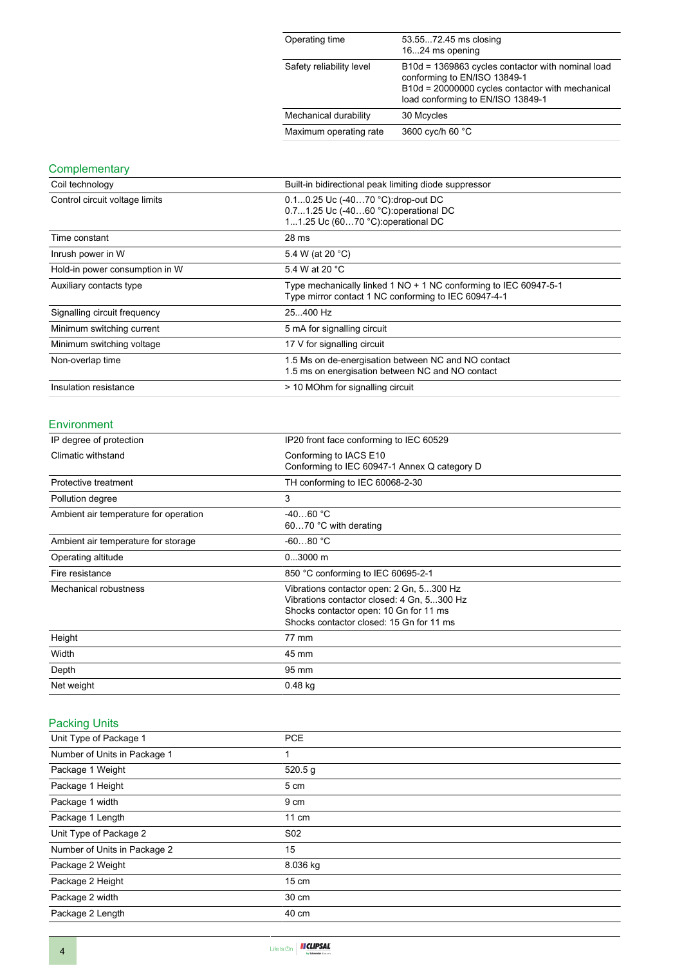| Operating time           | 53.5572.45 ms closing<br>1624 ms opening                                                                                                                                   |
|--------------------------|----------------------------------------------------------------------------------------------------------------------------------------------------------------------------|
| Safety reliability level | B10d = 1369863 cycles contactor with nominal load<br>conforming to EN/ISO 13849-1<br>B10d = 20000000 cycles contactor with mechanical<br>load conforming to EN/ISO 13849-1 |
| Mechanical durability    | 30 Mcycles                                                                                                                                                                 |
| Maximum operating rate   | 3600 cyc/h 60 °C                                                                                                                                                           |

#### **Complementary**

| Coil technology                | Built-in bidirectional peak limiting diode suppressor                                                                    |  |  |
|--------------------------------|--------------------------------------------------------------------------------------------------------------------------|--|--|
| Control circuit voltage limits | 0.10.25 Uc (-4070 °C):drop-out DC<br>0.71.25 Uc (-4060 °C) operational DC<br>11.25 Uc (6070 °C): operational DC          |  |  |
| Time constant                  | 28 ms                                                                                                                    |  |  |
| Inrush power in W              | 5.4 W (at 20 °C)                                                                                                         |  |  |
| Hold-in power consumption in W | 5.4 W at 20 °C                                                                                                           |  |  |
| Auxiliary contacts type        | Type mechanically linked 1 NO + 1 NC conforming to IEC 60947-5-1<br>Type mirror contact 1 NC conforming to IEC 60947-4-1 |  |  |
| Signalling circuit frequency   | 25.400 Hz                                                                                                                |  |  |
| Minimum switching current      | 5 mA for signalling circuit                                                                                              |  |  |
| Minimum switching voltage      | 17 V for signalling circuit                                                                                              |  |  |
| Non-overlap time               | 1.5 Ms on de-energisation between NC and NO contact<br>1.5 ms on energisation between NC and NO contact                  |  |  |
| Insulation resistance          | > 10 MOhm for signalling circuit                                                                                         |  |  |

#### Environment

| IP degree of protection               | IP20 front face conforming to IEC 60529                                                                                                                                      |  |
|---------------------------------------|------------------------------------------------------------------------------------------------------------------------------------------------------------------------------|--|
| Climatic withstand                    | Conforming to IACS E10<br>Conforming to IEC 60947-1 Annex Q category D                                                                                                       |  |
| Protective treatment                  | TH conforming to IEC 60068-2-30                                                                                                                                              |  |
| Pollution degree                      | 3                                                                                                                                                                            |  |
| Ambient air temperature for operation | $-4060 °C$<br>6070 °C with derating                                                                                                                                          |  |
| Ambient air temperature for storage   | $-6080 °C$                                                                                                                                                                   |  |
| Operating altitude                    | $03000$ m                                                                                                                                                                    |  |
| Fire resistance                       | 850 °C conforming to IEC 60695-2-1                                                                                                                                           |  |
| Mechanical robustness                 | Vibrations contactor open: 2 Gn, 5300 Hz<br>Vibrations contactor closed: 4 Gn, 5300 Hz<br>Shocks contactor open: 10 Gn for 11 ms<br>Shocks contactor closed: 15 Gn for 11 ms |  |
| Height                                | 77 mm                                                                                                                                                                        |  |
| Width                                 | 45 mm                                                                                                                                                                        |  |
| Depth                                 | 95 mm                                                                                                                                                                        |  |
| Net weight                            | $0.48$ kg                                                                                                                                                                    |  |

#### Packing Units

| Unit Type of Package 1       | <b>PCE</b>      |  |
|------------------------------|-----------------|--|
| Number of Units in Package 1 | 1               |  |
| Package 1 Weight             | 520.5 g         |  |
| Package 1 Height             | 5 cm            |  |
| Package 1 width              | 9 cm            |  |
| Package 1 Length             | $11 \text{ cm}$ |  |
| Unit Type of Package 2       | S <sub>02</sub> |  |
| Number of Units in Package 2 | 15              |  |
| Package 2 Weight             | 8.036 kg        |  |
| Package 2 Height             | $15 \text{ cm}$ |  |
| Package 2 width              | 30 cm           |  |
| Package 2 Length             | 40 cm           |  |
|                              |                 |  |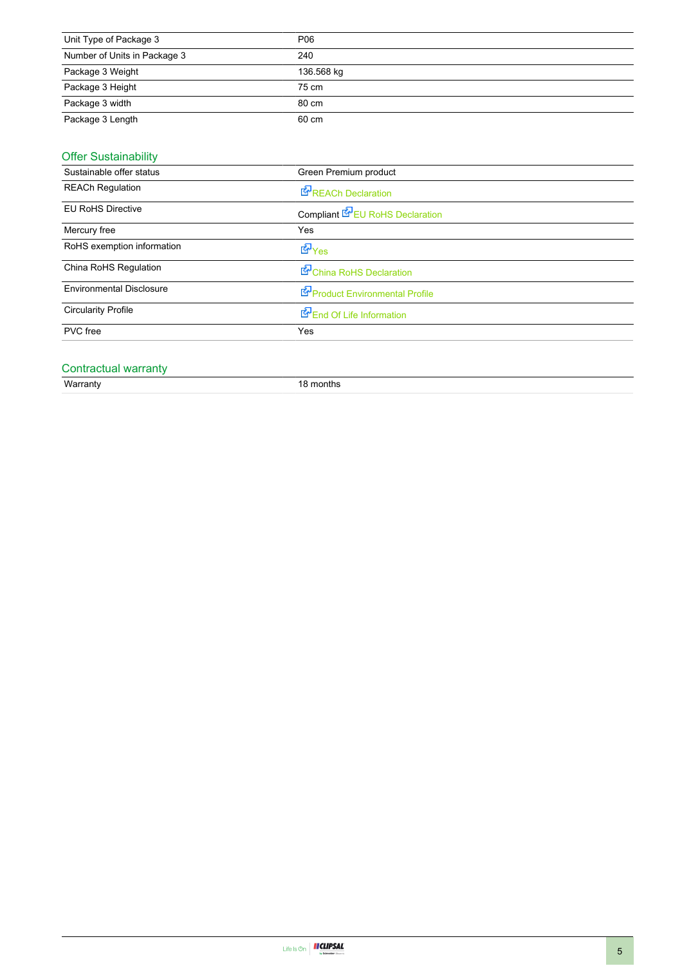| Unit Type of Package 3       | P06        |
|------------------------------|------------|
| Number of Units in Package 3 | 240        |
| Package 3 Weight             | 136.568 kg |
| Package 3 Height             | 75 cm      |
| Package 3 width              | 80 cm      |
| Package 3 Length             | 60 cm      |
|                              |            |

#### Offer Sustainability

| Sustainable offer status        | Green Premium product           |  |
|---------------------------------|---------------------------------|--|
| <b>REACh Regulation</b>         | <b>REACh Declaration</b>        |  |
| <b>EU RoHS Directive</b>        | Compliant EPEU RoHS Declaration |  |
| Mercury free                    | Yes                             |  |
| RoHS exemption information      | <b>E</b> Yes                    |  |
| China RoHS Regulation           | China RoHS Declaration          |  |
| <b>Environmental Disclosure</b> | Product Environmental Profile   |  |
| <b>Circularity Profile</b>      | End Of Life Information         |  |
| PVC free                        | Yes                             |  |

# Contractual warranty<br>Warranty

18 months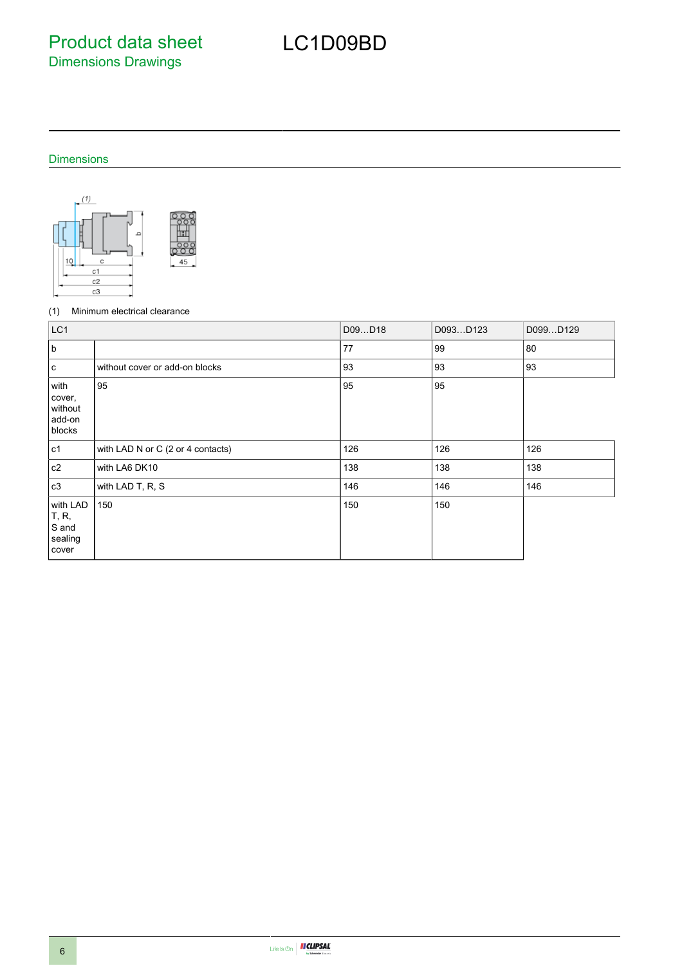Product data sheet Dimensions Drawings

## LC1D09BD

#### Dimensions



#### (1) Minimum electrical clearance

| LC <sub>1</sub>                                |                                   | D09D18 | D093D123 | D099D129 |
|------------------------------------------------|-----------------------------------|--------|----------|----------|
| b                                              |                                   | 77     | 99       | 80       |
| c                                              | without cover or add-on blocks    | 93     | 93       | 93       |
| with<br>cover,<br>without<br>add-on<br>blocks  | 95                                | 95     | 95       |          |
| c1                                             | with LAD N or C (2 or 4 contacts) | 126    | 126      | 126      |
| c2                                             | with LA6 DK10                     | 138    | 138      | 138      |
| c3                                             | with LAD T, R, S                  | 146    | 146      | 146      |
| with LAD<br>T, R,<br>S and<br>sealing<br>cover | 150                               | 150    | 150      |          |